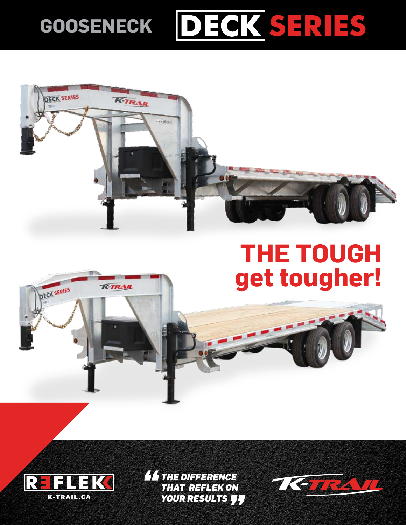## DECK SERIES **GOOSENECK**



## **THE TOUGH get tougher!**





*THE DIFFERENCE THAT REFLEK ON YOUR RESULTS*